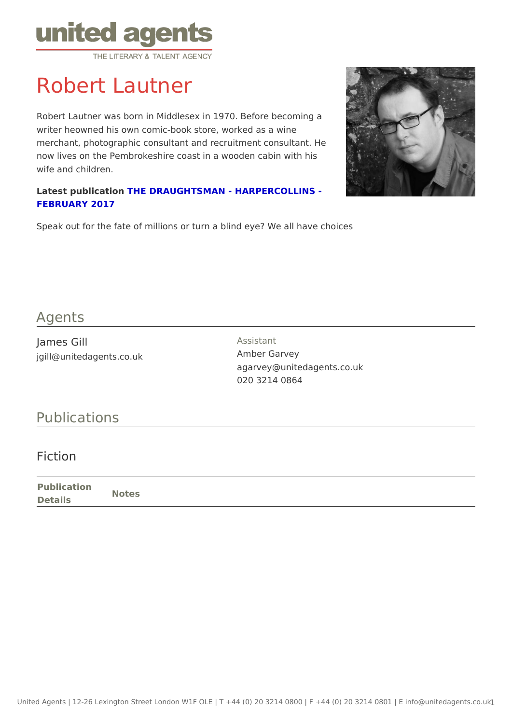## Robert Lautner

Robert Lautner was born in Middlesex in 1970. Before becoming a writer heowned his own comic-book store, worked as a wine merchant, photographic consultant and recruitment consultant. He now lives on the Pembrokeshire coast in a wooden cabin with his wife and children.

Latest publicatTd-hE DRAUGHTSMAN - HARPERCOLLINS -[FEBRUARY 2](https://www.amazon.co.uk/d/Books/Draughtsman-Robert-Lautner/0008126712)017

Speak out for the fate of millions or turn a blind eye? We all have choices

## Agents

James Gill jgill@unitedagents.co.uk Assistant Amber Garvey agarvey@unitedagents.co.uk 020 3214 0864

## Publications

## Fiction

Publication Details Notes